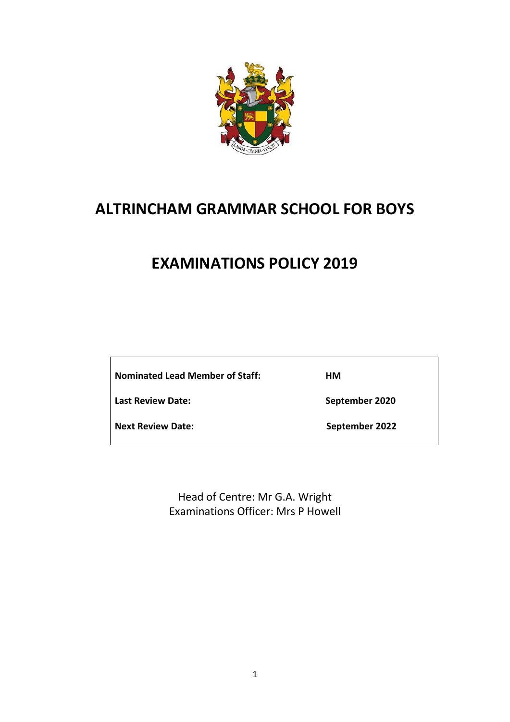

# **ALTRINCHAM GRAMMAR SCHOOL FOR BOYS**

# **EXAMINATIONS POLICY 2019**

**Nominated Lead Member of Staff: HM**

Last Review Date: **September 2020** 

**Next Review Date:** September 2022

Head of Centre: Mr G.A. Wright Examinations Officer: Mrs P Howell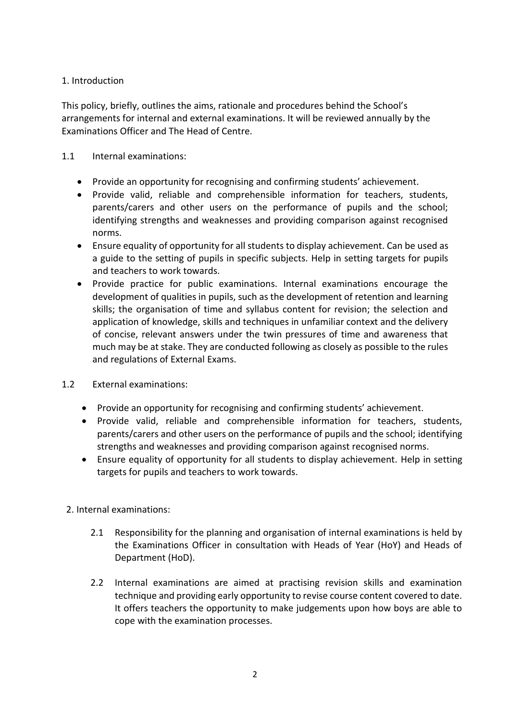# 1. Introduction

This policy, briefly, outlines the aims, rationale and procedures behind the School's arrangements for internal and external examinations. It will be reviewed annually by the Examinations Officer and The Head of Centre.

# 1.1 Internal examinations:

- Provide an opportunity for recognising and confirming students' achievement.
- Provide valid, reliable and comprehensible information for teachers, students, parents/carers and other users on the performance of pupils and the school; identifying strengths and weaknesses and providing comparison against recognised norms.
- Ensure equality of opportunity for all students to display achievement. Can be used as a guide to the setting of pupils in specific subjects. Help in setting targets for pupils and teachers to work towards.
- Provide practice for public examinations. Internal examinations encourage the development of qualities in pupils, such as the development of retention and learning skills; the organisation of time and syllabus content for revision; the selection and application of knowledge, skills and techniques in unfamiliar context and the delivery of concise, relevant answers under the twin pressures of time and awareness that much may be at stake. They are conducted following as closely as possible to the rules and regulations of External Exams.
- 1.2 External examinations:
	- Provide an opportunity for recognising and confirming students' achievement.
	- Provide valid, reliable and comprehensible information for teachers, students, parents/carers and other users on the performance of pupils and the school; identifying strengths and weaknesses and providing comparison against recognised norms.
	- Ensure equality of opportunity for all students to display achievement. Help in setting targets for pupils and teachers to work towards.
	- 2. Internal examinations:
		- 2.1 Responsibility for the planning and organisation of internal examinations is held by the Examinations Officer in consultation with Heads of Year (HoY) and Heads of Department (HoD).
		- 2.2 Internal examinations are aimed at practising revision skills and examination technique and providing early opportunity to revise course content covered to date. It offers teachers the opportunity to make judgements upon how boys are able to cope with the examination processes.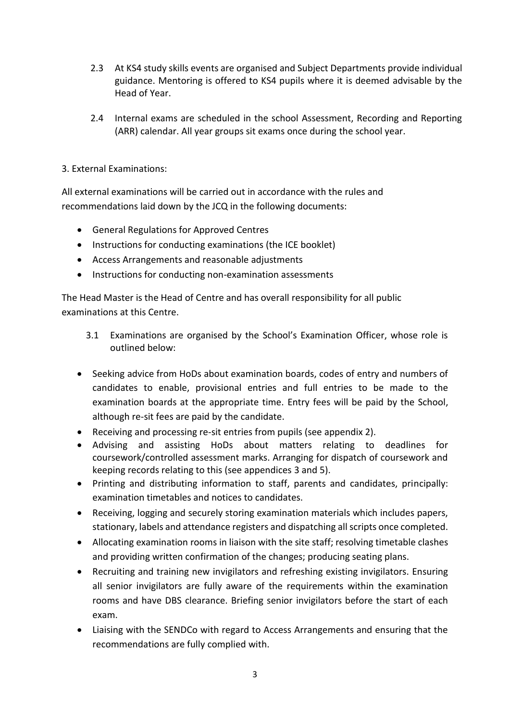- 2.3 At KS4 study skills events are organised and Subject Departments provide individual guidance. Mentoring is offered to KS4 pupils where it is deemed advisable by the Head of Year.
- 2.4 Internal exams are scheduled in the school Assessment, Recording and Reporting (ARR) calendar. All year groups sit exams once during the school year.
- 3. External Examinations:

All external examinations will be carried out in accordance with the rules and recommendations laid down by the JCQ in the following documents:

- General Regulations for Approved Centres
- Instructions for conducting examinations (the ICE booklet)
- Access Arrangements and reasonable adjustments
- Instructions for conducting non-examination assessments

The Head Master is the Head of Centre and has overall responsibility for all public examinations at this Centre.

- 3.1 Examinations are organised by the School's Examination Officer, whose role is outlined below:
- Seeking advice from HoDs about examination boards, codes of entry and numbers of candidates to enable, provisional entries and full entries to be made to the examination boards at the appropriate time. Entry fees will be paid by the School, although re-sit fees are paid by the candidate.
- Receiving and processing re-sit entries from pupils (see appendix 2).
- Advising and assisting HoDs about matters relating to deadlines for coursework/controlled assessment marks. Arranging for dispatch of coursework and keeping records relating to this (see appendices 3 and 5).
- Printing and distributing information to staff, parents and candidates, principally: examination timetables and notices to candidates.
- Receiving, logging and securely storing examination materials which includes papers, stationary, labels and attendance registers and dispatching all scripts once completed.
- Allocating examination rooms in liaison with the site staff; resolving timetable clashes and providing written confirmation of the changes; producing seating plans.
- Recruiting and training new invigilators and refreshing existing invigilators. Ensuring all senior invigilators are fully aware of the requirements within the examination rooms and have DBS clearance. Briefing senior invigilators before the start of each exam.
- Liaising with the SENDCo with regard to Access Arrangements and ensuring that the recommendations are fully complied with.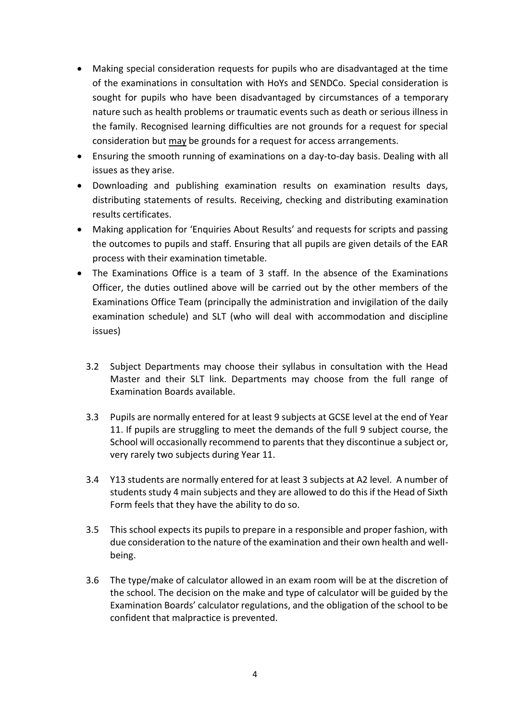- Making special consideration requests for pupils who are disadvantaged at the time of the examinations in consultation with HoYs and SENDCo. Special consideration is sought for pupils who have been disadvantaged by circumstances of a temporary nature such as health problems or traumatic events such as death or serious illness in the family. Recognised learning difficulties are not grounds for a request for special consideration but may be grounds for a request for access arrangements.
- Ensuring the smooth running of examinations on a day-to-day basis. Dealing with all issues as they arise.
- Downloading and publishing examination results on examination results days, distributing statements of results. Receiving, checking and distributing examination results certificates.
- Making application for 'Enquiries About Results' and requests for scripts and passing the outcomes to pupils and staff. Ensuring that all pupils are given details of the EAR process with their examination timetable.
- The Examinations Office is a team of 3 staff. In the absence of the Examinations Officer, the duties outlined above will be carried out by the other members of the Examinations Office Team (principally the administration and invigilation of the daily examination schedule) and SLT (who will deal with accommodation and discipline issues)
	- 3.2 Subject Departments may choose their syllabus in consultation with the Head Master and their SLT link. Departments may choose from the full range of Examination Boards available.
	- 3.3 Pupils are normally entered for at least 9 subjects at GCSE level at the end of Year 11. If pupils are struggling to meet the demands of the full 9 subject course, the School will occasionally recommend to parents that they discontinue a subject or, very rarely two subjects during Year 11.
	- 3.4 Y13 students are normally entered for at least 3 subjects at A2 level. A number of students study 4 main subjects and they are allowed to do this if the Head of Sixth Form feels that they have the ability to do so.
	- 3.5 This school expects its pupils to prepare in a responsible and proper fashion, with due consideration to the nature of the examination and their own health and wellbeing.
	- 3.6 The type/make of calculator allowed in an exam room will be at the discretion of the school. The decision on the make and type of calculator will be guided by the Examination Boards' calculator regulations, and the obligation of the school to be confident that malpractice is prevented.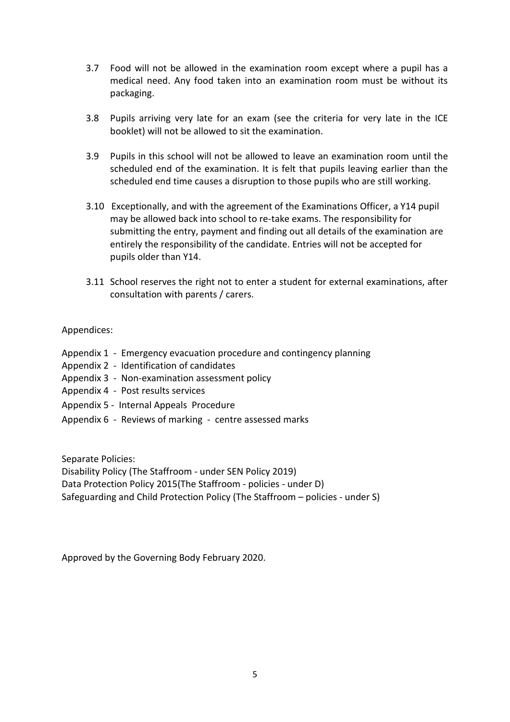- 3.7 Food will not be allowed in the examination room except where a pupil has a medical need. Any food taken into an examination room must be without its packaging.
- 3.8 Pupils arriving very late for an exam (see the criteria for very late in the ICE booklet) will not be allowed to sit the examination.
- 3.9 Pupils in this school will not be allowed to leave an examination room until the scheduled end of the examination. It is felt that pupils leaving earlier than the scheduled end time causes a disruption to those pupils who are still working.
- 3.10 Exceptionally, and with the agreement of the Examinations Officer, a Y14 pupil may be allowed back into school to re-take exams. The responsibility for submitting the entry, payment and finding out all details of the examination are entirely the responsibility of the candidate. Entries will not be accepted for pupils older than Y14.
- 3.11 School reserves the right not to enter a student for external examinations, after consultation with parents / carers.

#### Appendices:

- Appendix 1 Emergency evacuation procedure and contingency planning
- Appendix 2 Identification of candidates
- Appendix 3 Non-examination assessment policy
- Appendix 4 Post results services
- Appendix 5 Internal Appeals Procedure
- Appendix 6 Reviews of marking centre assessed marks

Separate Policies:

Disability Policy (The Staffroom - under SEN Policy 2019) Data Protection Policy 2015(The Staffroom - policies - under D) Safeguarding and Child Protection Policy (The Staffroom – policies - under S)

Approved by the Governing Body February 2020.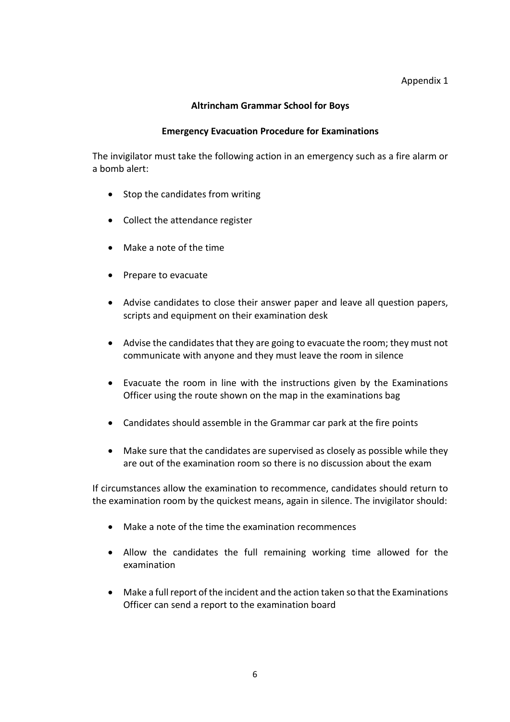### Appendix 1

## **Altrincham Grammar School for Boys**

#### **Emergency Evacuation Procedure for Examinations**

The invigilator must take the following action in an emergency such as a fire alarm or a bomb alert:

- Stop the candidates from writing
- Collect the attendance register
- Make a note of the time
- Prepare to evacuate
- Advise candidates to close their answer paper and leave all question papers, scripts and equipment on their examination desk
- Advise the candidates that they are going to evacuate the room; they must not communicate with anyone and they must leave the room in silence
- Evacuate the room in line with the instructions given by the Examinations Officer using the route shown on the map in the examinations bag
- Candidates should assemble in the Grammar car park at the fire points
- Make sure that the candidates are supervised as closely as possible while they are out of the examination room so there is no discussion about the exam

If circumstances allow the examination to recommence, candidates should return to the examination room by the quickest means, again in silence. The invigilator should:

- Make a note of the time the examination recommences
- Allow the candidates the full remaining working time allowed for the examination
- Make a full report of the incident and the action taken so that the Examinations Officer can send a report to the examination board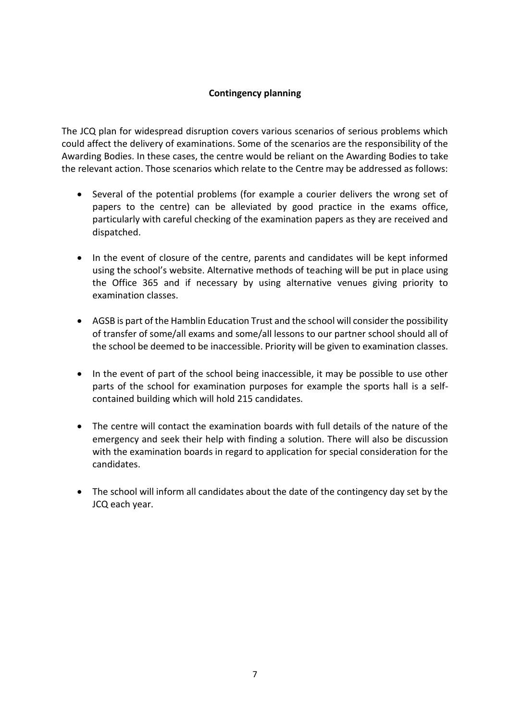# **Contingency planning**

The JCQ plan for widespread disruption covers various scenarios of serious problems which could affect the delivery of examinations. Some of the scenarios are the responsibility of the Awarding Bodies. In these cases, the centre would be reliant on the Awarding Bodies to take the relevant action. Those scenarios which relate to the Centre may be addressed as follows:

- Several of the potential problems (for example a courier delivers the wrong set of papers to the centre) can be alleviated by good practice in the exams office, particularly with careful checking of the examination papers as they are received and dispatched.
- In the event of closure of the centre, parents and candidates will be kept informed using the school's website. Alternative methods of teaching will be put in place using the Office 365 and if necessary by using alternative venues giving priority to examination classes.
- AGSB is part of the Hamblin Education Trust and the school will consider the possibility of transfer of some/all exams and some/all lessons to our partner school should all of the school be deemed to be inaccessible. Priority will be given to examination classes.
- In the event of part of the school being inaccessible, it may be possible to use other parts of the school for examination purposes for example the sports hall is a selfcontained building which will hold 215 candidates.
- The centre will contact the examination boards with full details of the nature of the emergency and seek their help with finding a solution. There will also be discussion with the examination boards in regard to application for special consideration for the candidates.
- The school will inform all candidates about the date of the contingency day set by the JCQ each year.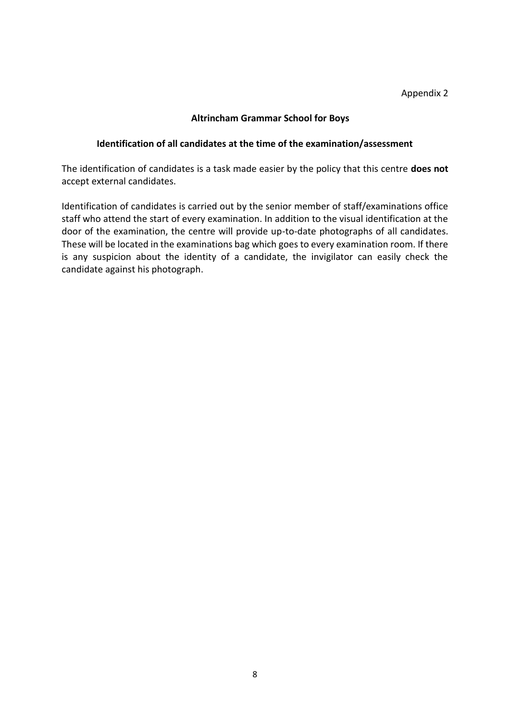#### **Identification of all candidates at the time of the examination/assessment**

The identification of candidates is a task made easier by the policy that this centre **does not** accept external candidates.

Identification of candidates is carried out by the senior member of staff/examinations office staff who attend the start of every examination. In addition to the visual identification at the door of the examination, the centre will provide up-to-date photographs of all candidates. These will be located in the examinations bag which goes to every examination room. If there is any suspicion about the identity of a candidate, the invigilator can easily check the candidate against his photograph.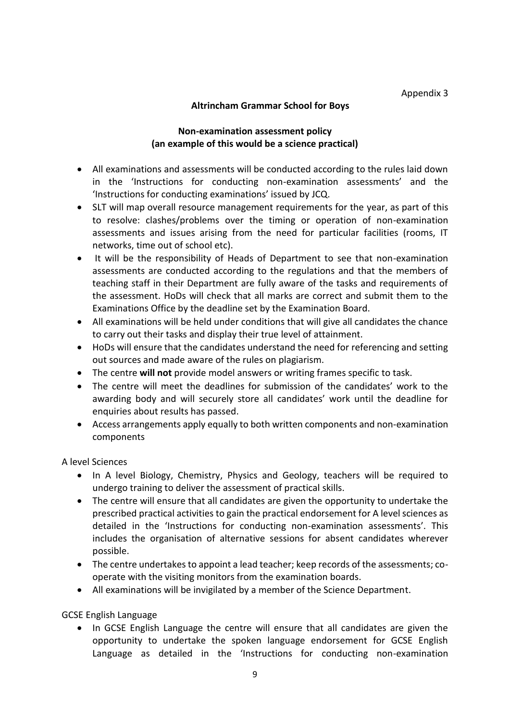Appendix 3

# **Altrincham Grammar School for Boys**

# **Non-examination assessment policy (an example of this would be a science practical)**

- All examinations and assessments will be conducted according to the rules laid down in the 'Instructions for conducting non-examination assessments' and the 'Instructions for conducting examinations' issued by JCQ.
- SLT will map overall resource management requirements for the year, as part of this to resolve: clashes/problems over the timing or operation of non-examination assessments and issues arising from the need for particular facilities (rooms, IT networks, time out of school etc).
- It will be the responsibility of Heads of Department to see that non-examination assessments are conducted according to the regulations and that the members of teaching staff in their Department are fully aware of the tasks and requirements of the assessment. HoDs will check that all marks are correct and submit them to the Examinations Office by the deadline set by the Examination Board.
- All examinations will be held under conditions that will give all candidates the chance to carry out their tasks and display their true level of attainment.
- HoDs will ensure that the candidates understand the need for referencing and setting out sources and made aware of the rules on plagiarism.
- The centre **will not** provide model answers or writing frames specific to task.
- The centre will meet the deadlines for submission of the candidates' work to the awarding body and will securely store all candidates' work until the deadline for enquiries about results has passed.
- Access arrangements apply equally to both written components and non-examination components

A level Sciences

- In A level Biology, Chemistry, Physics and Geology, teachers will be required to undergo training to deliver the assessment of practical skills.
- The centre will ensure that all candidates are given the opportunity to undertake the prescribed practical activities to gain the practical endorsement for A level sciences as detailed in the 'Instructions for conducting non-examination assessments'. This includes the organisation of alternative sessions for absent candidates wherever possible.
- The centre undertakes to appoint a lead teacher; keep records of the assessments; cooperate with the visiting monitors from the examination boards.
- All examinations will be invigilated by a member of the Science Department.

GCSE English Language

• In GCSE English Language the centre will ensure that all candidates are given the opportunity to undertake the spoken language endorsement for GCSE English Language as detailed in the 'Instructions for conducting non-examination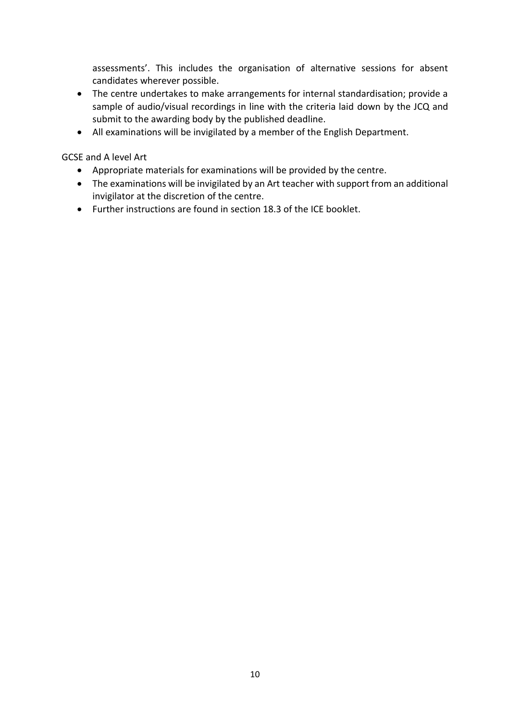assessments'. This includes the organisation of alternative sessions for absent candidates wherever possible.

- The centre undertakes to make arrangements for internal standardisation; provide a sample of audio/visual recordings in line with the criteria laid down by the JCQ and submit to the awarding body by the published deadline.
- All examinations will be invigilated by a member of the English Department.

GCSE and A level Art

- Appropriate materials for examinations will be provided by the centre.
- The examinations will be invigilated by an Art teacher with support from an additional invigilator at the discretion of the centre.
- Further instructions are found in section 18.3 of the ICE booklet.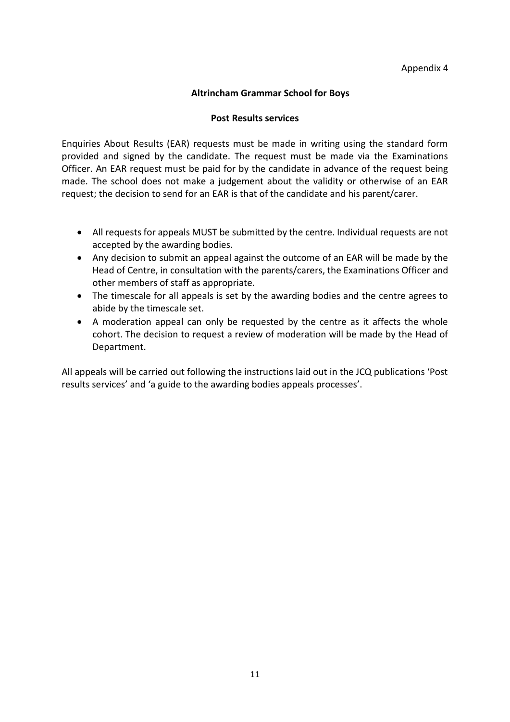#### **Post Results services**

Enquiries About Results (EAR) requests must be made in writing using the standard form provided and signed by the candidate. The request must be made via the Examinations Officer. An EAR request must be paid for by the candidate in advance of the request being made. The school does not make a judgement about the validity or otherwise of an EAR request; the decision to send for an EAR is that of the candidate and his parent/carer.

- All requests for appeals MUST be submitted by the centre. Individual requests are not accepted by the awarding bodies.
- Any decision to submit an appeal against the outcome of an EAR will be made by the Head of Centre, in consultation with the parents/carers, the Examinations Officer and other members of staff as appropriate.
- The timescale for all appeals is set by the awarding bodies and the centre agrees to abide by the timescale set.
- A moderation appeal can only be requested by the centre as it affects the whole cohort. The decision to request a review of moderation will be made by the Head of Department.

All appeals will be carried out following the instructions laid out in the JCQ publications 'Post results services' and 'a guide to the awarding bodies appeals processes'.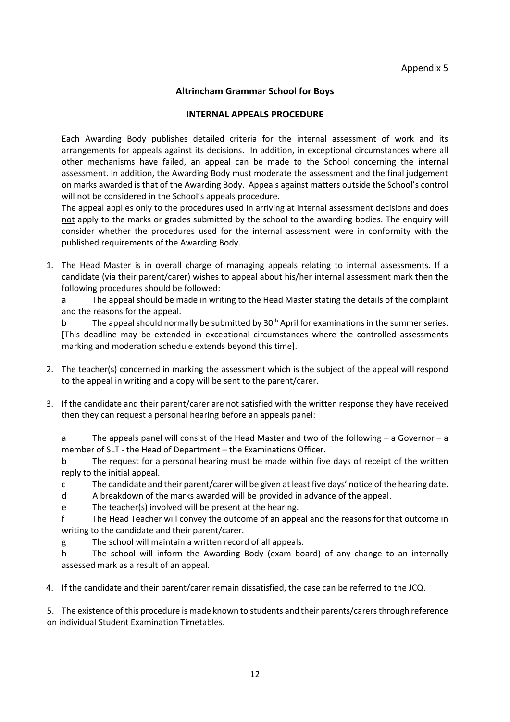### **INTERNAL APPEALS PROCEDURE**

Each Awarding Body publishes detailed criteria for the internal assessment of work and its arrangements for appeals against its decisions. In addition, in exceptional circumstances where all other mechanisms have failed, an appeal can be made to the School concerning the internal assessment. In addition, the Awarding Body must moderate the assessment and the final judgement on marks awarded is that of the Awarding Body. Appeals against matters outside the School's control will not be considered in the School's appeals procedure.

The appeal applies only to the procedures used in arriving at internal assessment decisions and does not apply to the marks or grades submitted by the school to the awarding bodies. The enquiry will consider whether the procedures used for the internal assessment were in conformity with the published requirements of the Awarding Body.

1. The Head Master is in overall charge of managing appeals relating to internal assessments. If a candidate (via their parent/carer) wishes to appeal about his/her internal assessment mark then the following procedures should be followed:

a The appeal should be made in writing to the Head Master stating the details of the complaint and the reasons for the appeal.

b The appeal should normally be submitted by 30<sup>th</sup> April for examinations in the summer series. [This deadline may be extended in exceptional circumstances where the controlled assessments marking and moderation schedule extends beyond this time].

- 2. The teacher(s) concerned in marking the assessment which is the subject of the appeal will respond to the appeal in writing and a copy will be sent to the parent/carer.
- 3. If the candidate and their parent/carer are not satisfied with the written response they have received then they can request a personal hearing before an appeals panel:

a The appeals panel will consist of the Head Master and two of the following – a Governor – a member of SLT - the Head of Department – the Examinations Officer.

b The request for a personal hearing must be made within five days of receipt of the written reply to the initial appeal.

- c The candidate and their parent/carer will be given at least five days' notice of the hearing date.
- d A breakdown of the marks awarded will be provided in advance of the appeal.

e The teacher(s) involved will be present at the hearing.

f The Head Teacher will convey the outcome of an appeal and the reasons for that outcome in writing to the candidate and their parent/carer.

g The school will maintain a written record of all appeals.

h The school will inform the Awarding Body (exam board) of any change to an internally assessed mark as a result of an appeal.

4. If the candidate and their parent/carer remain dissatisfied, the case can be referred to the JCQ.

5. The existence of this procedure is made known to students and their parents/carers through reference on individual Student Examination Timetables.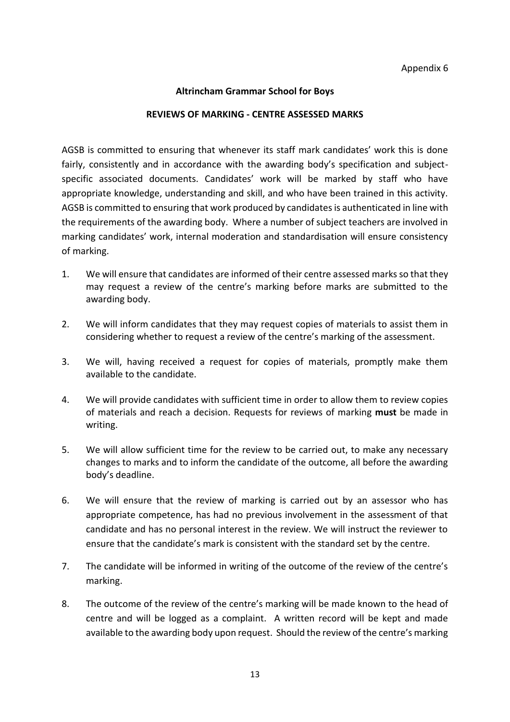#### **REVIEWS OF MARKING - CENTRE ASSESSED MARKS**

AGSB is committed to ensuring that whenever its staff mark candidates' work this is done fairly, consistently and in accordance with the awarding body's specification and subjectspecific associated documents. Candidates' work will be marked by staff who have appropriate knowledge, understanding and skill, and who have been trained in this activity. AGSB is committed to ensuring that work produced by candidates is authenticated in line with the requirements of the awarding body. Where a number of subject teachers are involved in marking candidates' work, internal moderation and standardisation will ensure consistency of marking.

- 1. We will ensure that candidates are informed of their centre assessed marks so that they may request a review of the centre's marking before marks are submitted to the awarding body.
- 2. We will inform candidates that they may request copies of materials to assist them in considering whether to request a review of the centre's marking of the assessment.
- 3. We will, having received a request for copies of materials, promptly make them available to the candidate.
- 4. We will provide candidates with sufficient time in order to allow them to review copies of materials and reach a decision. Requests for reviews of marking **must** be made in writing.
- 5. We will allow sufficient time for the review to be carried out, to make any necessary changes to marks and to inform the candidate of the outcome, all before the awarding body's deadline.
- 6. We will ensure that the review of marking is carried out by an assessor who has appropriate competence, has had no previous involvement in the assessment of that candidate and has no personal interest in the review. We will instruct the reviewer to ensure that the candidate's mark is consistent with the standard set by the centre.
- 7. The candidate will be informed in writing of the outcome of the review of the centre's marking.
- 8. The outcome of the review of the centre's marking will be made known to the head of centre and will be logged as a complaint. A written record will be kept and made available to the awarding body upon request. Should the review of the centre's marking